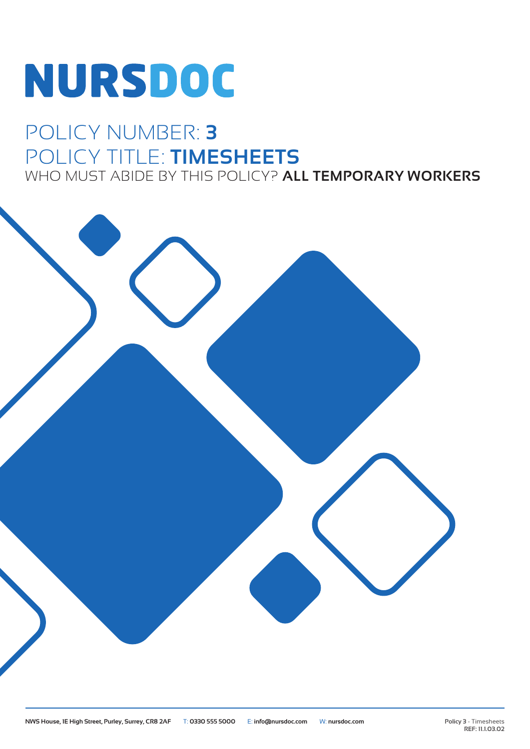# NURSDOC

### POLICY NUMBER: **3** POLICY TITLE: **TIMESHEETS** WHO MUST ABIDE BY THIS POLICY? **ALL TEMPORARY WORKERS**